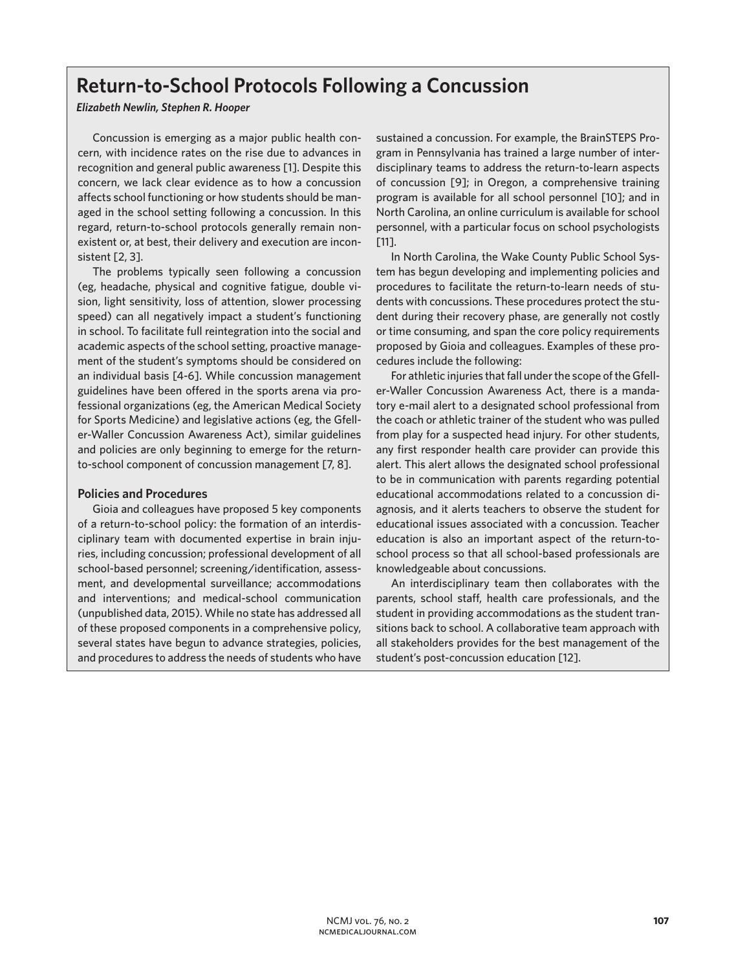# **Return-to-School Protocols Following a Concussion**

## *Elizabeth Newlin, Stephen R. Hooper*

Concussion is emerging as a major public health concern, with incidence rates on the rise due to advances in recognition and general public awareness [1]. Despite this concern, we lack clear evidence as to how a concussion affects school functioning or how students should be managed in the school setting following a concussion. In this regard, return-to-school protocols generally remain nonexistent or, at best, their delivery and execution are inconsistent [2, 3].

The problems typically seen following a concussion (eg, headache, physical and cognitive fatigue, double vision, light sensitivity, loss of attention, slower processing speed) can all negatively impact a student's functioning in school. To facilitate full reintegration into the social and academic aspects of the school setting, proactive management of the student's symptoms should be considered on an individual basis [4-6]. While concussion management guidelines have been offered in the sports arena via professional organizations (eg, the American Medical Society for Sports Medicine) and legislative actions (eg, the Gfeller-Waller Concussion Awareness Act), similar guidelines and policies are only beginning to emerge for the returnto-school component of concussion management [7, 8].

# **Policies and Procedures**

Gioia and colleagues have proposed 5 key components of a return-to-school policy: the formation of an interdisciplinary team with documented expertise in brain injuries, including concussion; professional development of all school-based personnel; screening/identification, assessment, and developmental surveillance; accommodations and interventions; and medical-school communication (unpublished data, 2015). While no state has addressed all of these proposed components in a comprehensive policy, several states have begun to advance strategies, policies, and procedures to address the needs of students who have

sustained a concussion. For example, the BrainSTEPS Program in Pennsylvania has trained a large number of interdisciplinary teams to address the return-to-learn aspects of concussion [9]; in Oregon, a comprehensive training program is available for all school personnel [10]; and in North Carolina, an online curriculum is available for school personnel, with a particular focus on school psychologists [11].

In North Carolina, the Wake County Public School System has begun developing and implementing policies and procedures to facilitate the return-to-learn needs of students with concussions. These procedures protect the student during their recovery phase, are generally not costly or time consuming, and span the core policy requirements proposed by Gioia and colleagues. Examples of these procedures include the following:

For athletic injuries that fall under the scope of the Gfeller-Waller Concussion Awareness Act, there is a mandatory e-mail alert to a designated school professional from the coach or athletic trainer of the student who was pulled from play for a suspected head injury. For other students, any first responder health care provider can provide this alert. This alert allows the designated school professional to be in communication with parents regarding potential educational accommodations related to a concussion diagnosis, and it alerts teachers to observe the student for educational issues associated with a concussion. Teacher education is also an important aspect of the return-toschool process so that all school-based professionals are knowledgeable about concussions.

An interdisciplinary team then collaborates with the parents, school staff, health care professionals, and the student in providing accommodations as the student transitions back to school. A collaborative team approach with all stakeholders provides for the best management of the student's post-concussion education [12].